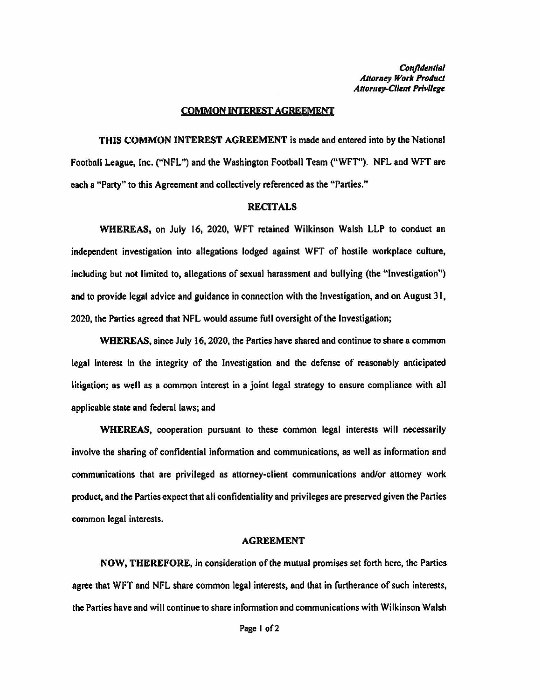*Confidential Attorney Work Product*  **Attorney-Client Privilege** 

## COMMON INTEREST AGREEMENT

**THIS COMMON INTEREST AGREEMENT** is made and entered into by the National Football League, Inc. ("NFL") and the Washington Football Team ("WFT''). NFL and WFT are each a "Party" to this Agreement and collectively referenced as the "Parties."

## **RECITALS**

**WHEREAS,** on July 16, 2020, WFT retained Wilkinson Walsh LLP to conduct an independent investigation into allegations lodged against WFT of hostile workplace culture, including but not limited to, allegations of sexual harassment and bullying (the "Investigation") and to provide legal advice and guidance in connection with the Investigation, and on August 31, 2020, the Parties **agreed** that NFL would assume full oversight of the Investigation;

**WHEREAS,** since July 16, 2020, the Parties have shared and continue to share a common legal interest in the integrity of the Investigation and the defense of reasonably anticipated litigation; as well as a common interest in a joint legal strategy to ensure compliance with all applicable state and federal laws; and

**WHEREAS,** cooperation pursuant to these common legal interests will necessarily involve the sharing of confidential information and communications, as well as information and communications that are privileged as attorney-client communications and/or attorney work product, and the Parties expect that all confidentiality and privileges are preserved given the Panics common legal interests.

## **AGREEMENT**

**NOW,** THEREFORE, in consideration of the mutual promises set forth here, the Parties agree that WFT and NFL share common legal interests, and that in furtherance of such interests, the Parties have and will continue to share infonnation and communications with Wilkinson Walsh